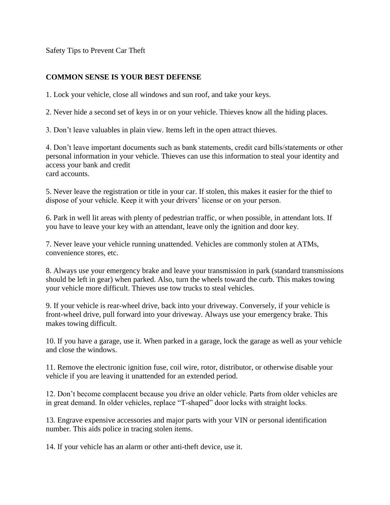Safety Tips to Prevent Car Theft

## **COMMON SENSE IS YOUR BEST DEFENSE**

1. Lock your vehicle, close all windows and sun roof, and take your keys.

2. Never hide a second set of keys in or on your vehicle. Thieves know all the hiding places.

3. Don't leave valuables in plain view. Items left in the open attract thieves.

4. Don't leave important documents such as bank statements, credit card bills/statements or other personal information in your vehicle. Thieves can use this information to steal your identity and access your bank and credit card accounts.

5. Never leave the registration or title in your car. If stolen, this makes it easier for the thief to dispose of your vehicle. Keep it with your drivers' license or on your person.

6. Park in well lit areas with plenty of pedestrian traffic, or when possible, in attendant lots. If you have to leave your key with an attendant, leave only the ignition and door key.

7. Never leave your vehicle running unattended. Vehicles are commonly stolen at ATMs, convenience stores, etc.

8. Always use your emergency brake and leave your transmission in park (standard transmissions should be left in gear) when parked. Also, turn the wheels toward the curb. This makes towing your vehicle more difficult. Thieves use tow trucks to steal vehicles.

9. If your vehicle is rear-wheel drive, back into your driveway. Conversely, if your vehicle is front-wheel drive, pull forward into your driveway. Always use your emergency brake. This makes towing difficult.

10. If you have a garage, use it. When parked in a garage, lock the garage as well as your vehicle and close the windows.

11. Remove the electronic ignition fuse, coil wire, rotor, distributor, or otherwise disable your vehicle if you are leaving it unattended for an extended period.

12. Don't become complacent because you drive an older vehicle. Parts from older vehicles are in great demand. In older vehicles, replace "T-shaped" door locks with straight locks.

13. Engrave expensive accessories and major parts with your VIN or personal identification number. This aids police in tracing stolen items.

14. If your vehicle has an alarm or other anti-theft device, use it.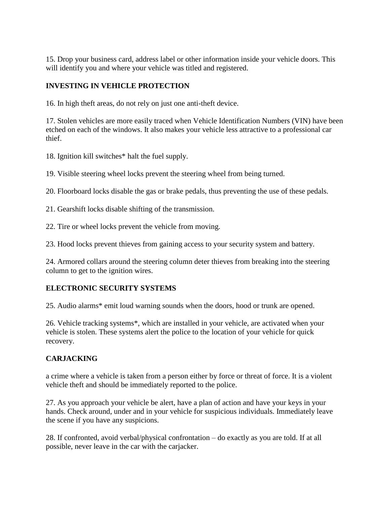15. Drop your business card, address label or other information inside your vehicle doors. This will identify you and where your vehicle was titled and registered.

## **INVESTING IN VEHICLE PROTECTION**

16. In high theft areas, do not rely on just one anti-theft device.

17. Stolen vehicles are more easily traced when Vehicle Identification Numbers (VIN) have been etched on each of the windows. It also makes your vehicle less attractive to a professional car thief.

18. Ignition kill switches\* halt the fuel supply.

19. Visible steering wheel locks prevent the steering wheel from being turned.

20. Floorboard locks disable the gas or brake pedals, thus preventing the use of these pedals.

21. Gearshift locks disable shifting of the transmission.

22. Tire or wheel locks prevent the vehicle from moving.

23. Hood locks prevent thieves from gaining access to your security system and battery.

24. Armored collars around the steering column deter thieves from breaking into the steering column to get to the ignition wires.

## **ELECTRONIC SECURITY SYSTEMS**

25. Audio alarms\* emit loud warning sounds when the doors, hood or trunk are opened.

26. Vehicle tracking systems\*, which are installed in your vehicle, are activated when your vehicle is stolen. These systems alert the police to the location of your vehicle for quick recovery.

## **CARJACKING**

a crime where a vehicle is taken from a person either by force or threat of force. It is a violent vehicle theft and should be immediately reported to the police.

27. As you approach your vehicle be alert, have a plan of action and have your keys in your hands. Check around, under and in your vehicle for suspicious individuals. Immediately leave the scene if you have any suspicions.

28. If confronted, avoid verbal/physical confrontation – do exactly as you are told. If at all possible, never leave in the car with the carjacker.